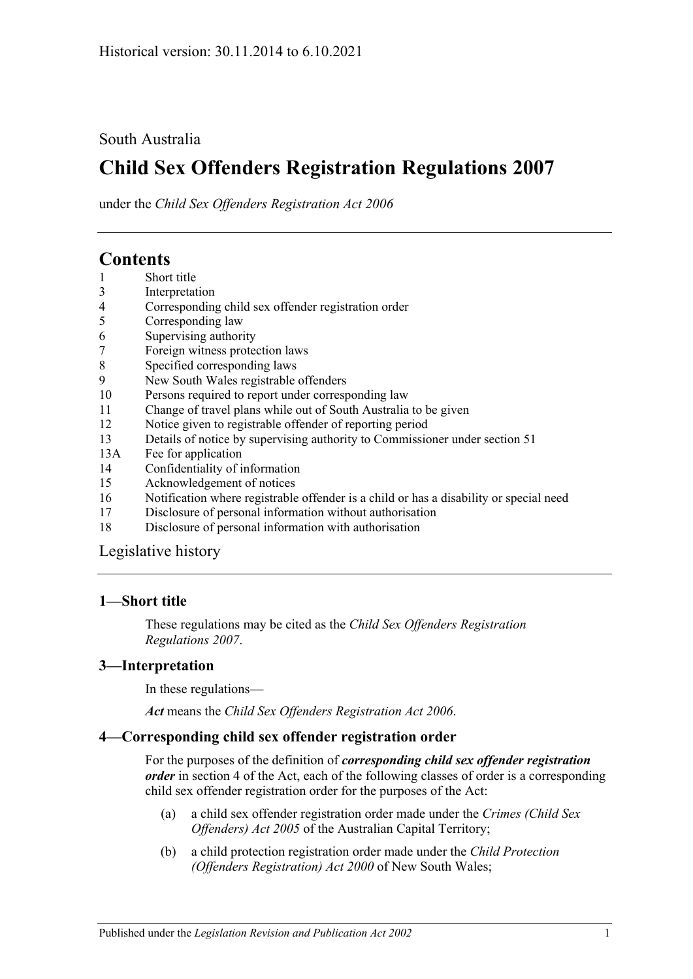## South Australia

# **Child Sex Offenders Registration Regulations 2007**

under the *Child Sex Offenders Registration Act 2006*

# **Contents**

- 1 [Short title](#page-0-0)
- 3 [Interpretation](#page-0-1)
- 4 [Corresponding child sex offender registration order](#page-0-2)
- 5 [Corresponding law](#page-1-0)
- 6 [Supervising authority](#page-1-1)
- 7 [Foreign witness protection laws](#page-2-0)
- 8 [Specified corresponding laws](#page-2-1)
- 9 [New South Wales registrable offenders](#page-2-2)
- 10 [Persons required to report under corresponding law](#page-3-0)
- 11 [Change of travel plans while out of South Australia to be given](#page-3-1)
- 12 [Notice given to registrable offender of reporting period](#page-3-2)
- 13 [Details of notice by supervising authority to Commissioner under section](#page-3-3) 51
- 13A [Fee for application](#page-3-4)
- 14 [Confidentiality of information](#page-4-0)
- 15 [Acknowledgement of notices](#page-4-1)
- 16 [Notification where registrable offender is a child or has a disability or special need](#page-4-2)
- 17 [Disclosure of personal information without authorisation](#page-5-0)
- 18 [Disclosure of personal information with authorisation](#page-5-1)

[Legislative history](#page-7-0)

## <span id="page-0-0"></span>**1—Short title**

These regulations may be cited as the *Child Sex Offenders Registration Regulations 2007*.

## <span id="page-0-1"></span>**3—Interpretation**

In these regulations—

*Act* means the *[Child Sex Offenders Registration Act](http://www.legislation.sa.gov.au/index.aspx?action=legref&type=act&legtitle=Child%20Sex%20Offenders%20Registration%20Act%202006) 2006*.

## <span id="page-0-2"></span>**4—Corresponding child sex offender registration order**

For the purposes of the definition of *corresponding child sex offender registration order* in section 4 of the Act, each of the following classes of order is a corresponding child sex offender registration order for the purposes of the Act:

- (a) a child sex offender registration order made under the *Crimes (Child Sex Offenders) Act 2005* of the Australian Capital Territory;
- (b) a child protection registration order made under the *Child Protection (Offenders Registration) Act 2000* of New South Wales;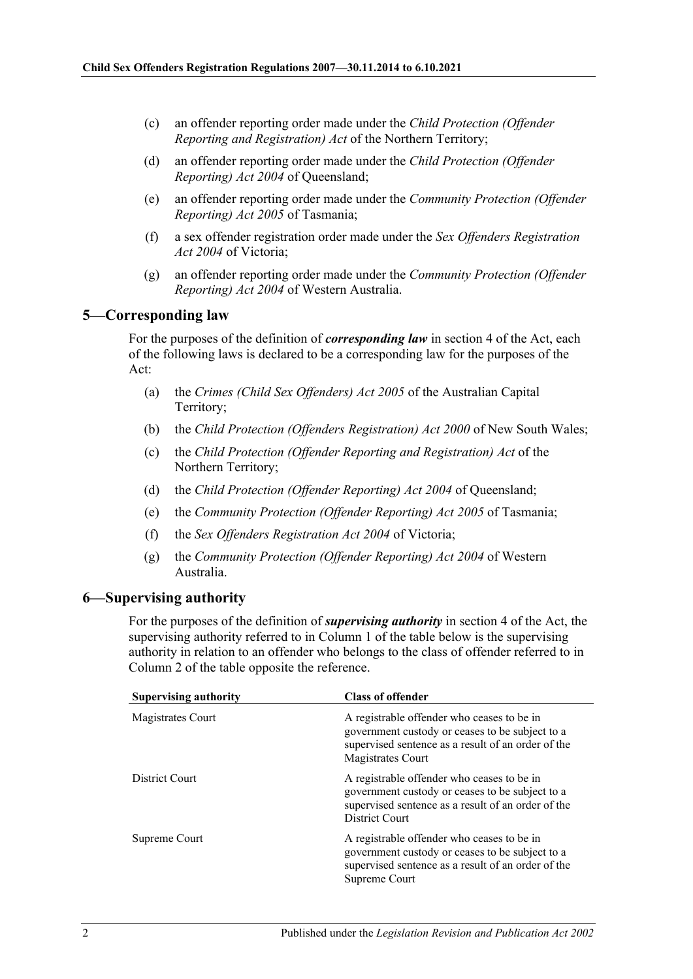- (c) an offender reporting order made under the *Child Protection (Offender Reporting and Registration) Act* of the Northern Territory;
- (d) an offender reporting order made under the *Child Protection (Offender Reporting) Act 2004* of Queensland;
- (e) an offender reporting order made under the *Community Protection (Offender Reporting) Act 2005* of Tasmania;
- (f) a sex offender registration order made under the *Sex Offenders Registration Act 2004* of Victoria;
- (g) an offender reporting order made under the *Community Protection (Offender Reporting) Act 2004* of Western Australia.

#### <span id="page-1-0"></span>**5—Corresponding law**

For the purposes of the definition of *corresponding law* in section 4 of the Act, each of the following laws is declared to be a corresponding law for the purposes of the Act:

- (a) the *Crimes (Child Sex Offenders) Act 2005* of the Australian Capital Territory;
- (b) the *Child Protection (Offenders Registration) Act 2000* of New South Wales;
- (c) the *Child Protection (Offender Reporting and Registration) Act* of the Northern Territory;
- (d) the *Child Protection (Offender Reporting) Act 2004* of Queensland;
- (e) the *Community Protection (Offender Reporting) Act 2005* of Tasmania;
- (f) the *Sex Offenders Registration Act 2004* of Victoria;
- (g) the *Community Protection (Offender Reporting) Act 2004* of Western Australia.

#### <span id="page-1-1"></span>**6—Supervising authority**

For the purposes of the definition of *supervising authority* in section 4 of the Act, the supervising authority referred to in Column 1 of the table below is the supervising authority in relation to an offender who belongs to the class of offender referred to in Column 2 of the table opposite the reference.

| <b>Supervising authority</b> | <b>Class of offender</b>                                                                                                                                                 |
|------------------------------|--------------------------------------------------------------------------------------------------------------------------------------------------------------------------|
| Magistrates Court            | A registrable offender who ceases to be in<br>government custody or ceases to be subject to a<br>supervised sentence as a result of an order of the<br>Magistrates Court |
| District Court               | A registrable offender who ceases to be in<br>government custody or ceases to be subject to a<br>supervised sentence as a result of an order of the<br>District Court    |
| Supreme Court                | A registrable offender who ceases to be in<br>government custody or ceases to be subject to a<br>supervised sentence as a result of an order of the<br>Supreme Court     |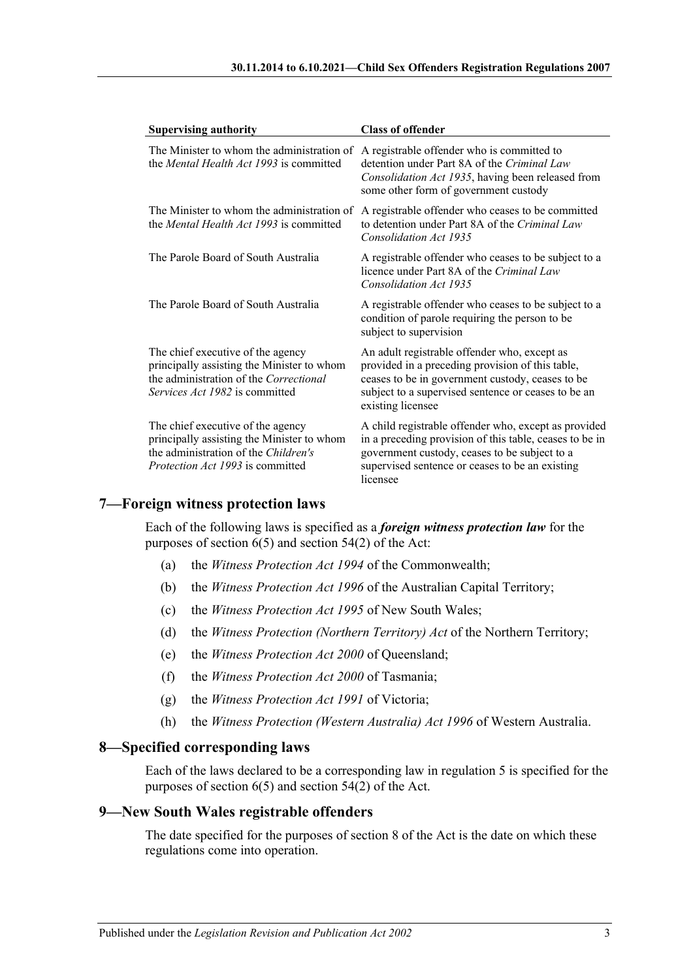| <b>Supervising authority</b>                                                                                                                                       | <b>Class of offender</b>                                                                                                                                                                                                         |
|--------------------------------------------------------------------------------------------------------------------------------------------------------------------|----------------------------------------------------------------------------------------------------------------------------------------------------------------------------------------------------------------------------------|
| The Minister to whom the administration of<br>the <i>Mental Health Act 1993</i> is committed                                                                       | A registrable offender who is committed to<br>detention under Part 8A of the Criminal Law<br>Consolidation Act 1935, having been released from<br>some other form of government custody                                          |
| The Minister to whom the administration of<br>the <i>Mental Health Act 1993</i> is committed                                                                       | A registrable offender who ceases to be committed<br>to detention under Part 8A of the Criminal Law<br>Consolidation Act 1935                                                                                                    |
| The Parole Board of South Australia                                                                                                                                | A registrable offender who ceases to be subject to a<br>licence under Part 8A of the Criminal Law<br>Consolidation Act 1935                                                                                                      |
| The Parole Board of South Australia                                                                                                                                | A registrable offender who ceases to be subject to a<br>condition of parole requiring the person to be<br>subject to supervision                                                                                                 |
| The chief executive of the agency<br>principally assisting the Minister to whom<br>the administration of the Correctional<br><i>Services Act 1982</i> is committed | An adult registrable offender who, except as<br>provided in a preceding provision of this table,<br>ceases to be in government custody, ceases to be<br>subject to a supervised sentence or ceases to be an<br>existing licensee |
| The chief executive of the agency<br>principally assisting the Minister to whom<br>the administration of the Children's<br><i>Protection Act 1993</i> is committed | A child registrable offender who, except as provided<br>in a preceding provision of this table, ceases to be in<br>government custody, ceases to be subject to a<br>supervised sentence or ceases to be an existing<br>licensee  |

## <span id="page-2-0"></span>**7—Foreign witness protection laws**

Each of the following laws is specified as a *foreign witness protection law* for the purposes of section  $6(5)$  and section  $54(2)$  of the Act:

- (a) the *Witness Protection Act 1994* of the Commonwealth;
- (b) the *Witness Protection Act 1996* of the Australian Capital Territory;
- (c) the *Witness Protection Act 1995* of New South Wales;
- (d) the *Witness Protection (Northern Territory) Act* of the Northern Territory;
- (e) the *Witness Protection Act 2000* of Queensland;
- (f) the *Witness Protection Act 2000* of Tasmania;
- (g) the *Witness Protection Act 1991* of Victoria;
- (h) the *Witness Protection (Western Australia) Act 1996* of Western Australia.

#### <span id="page-2-1"></span>**8—Specified corresponding laws**

Each of the laws declared to be a corresponding law in [regulation](#page-1-0) 5 is specified for the purposes of section 6(5) and section 54(2) of the Act.

## <span id="page-2-2"></span>**9—New South Wales registrable offenders**

The date specified for the purposes of section 8 of the Act is the date on which these regulations come into operation.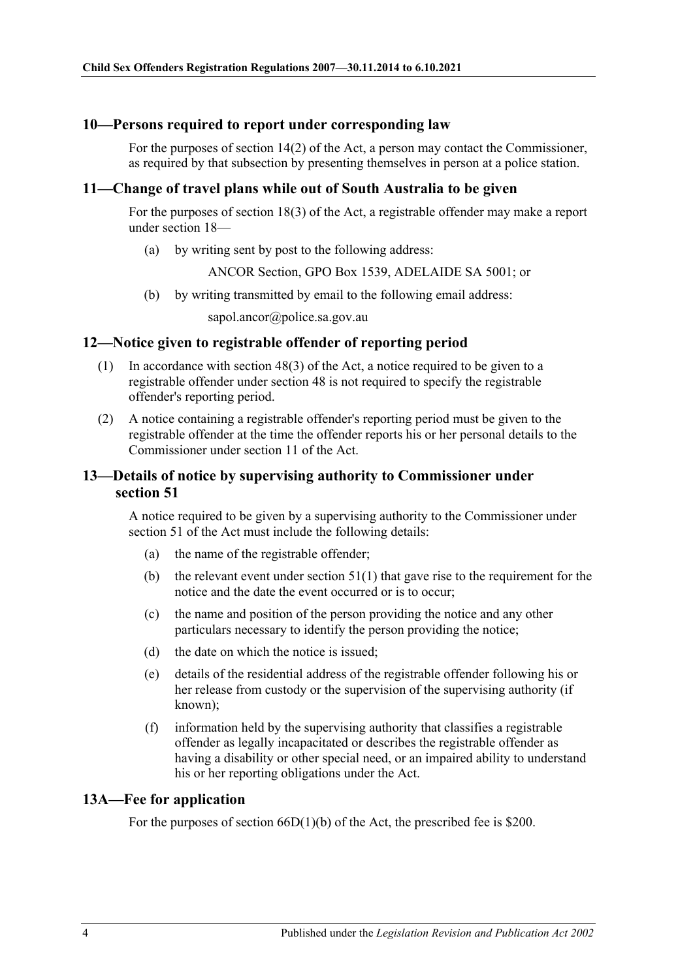#### <span id="page-3-0"></span>**10—Persons required to report under corresponding law**

For the purposes of section 14(2) of the Act, a person may contact the Commissioner, as required by that subsection by presenting themselves in person at a police station.

## <span id="page-3-1"></span>**11—Change of travel plans while out of South Australia to be given**

For the purposes of section 18(3) of the Act, a registrable offender may make a report under section 18—

(a) by writing sent by post to the following address:

ANCOR Section, GPO Box 1539, ADELAIDE SA 5001; or

(b) by writing transmitted by email to the following email address:

sapol.ancor@police.sa.gov.au

#### <span id="page-3-2"></span>**12—Notice given to registrable offender of reporting period**

- (1) In accordance with section 48(3) of the Act, a notice required to be given to a registrable offender under section 48 is not required to specify the registrable offender's reporting period.
- (2) A notice containing a registrable offender's reporting period must be given to the registrable offender at the time the offender reports his or her personal details to the Commissioner under section 11 of the Act.

## <span id="page-3-3"></span>**13—Details of notice by supervising authority to Commissioner under section 51**

A notice required to be given by a supervising authority to the Commissioner under section 51 of the Act must include the following details:

- (a) the name of the registrable offender;
- (b) the relevant event under section  $51(1)$  that gave rise to the requirement for the notice and the date the event occurred or is to occur;
- (c) the name and position of the person providing the notice and any other particulars necessary to identify the person providing the notice;
- (d) the date on which the notice is issued;
- (e) details of the residential address of the registrable offender following his or her release from custody or the supervision of the supervising authority (if known);
- (f) information held by the supervising authority that classifies a registrable offender as legally incapacitated or describes the registrable offender as having a disability or other special need, or an impaired ability to understand his or her reporting obligations under the Act.

#### <span id="page-3-4"></span>**13A—Fee for application**

For the purposes of section 66D(1)(b) of the Act, the prescribed fee is \$200.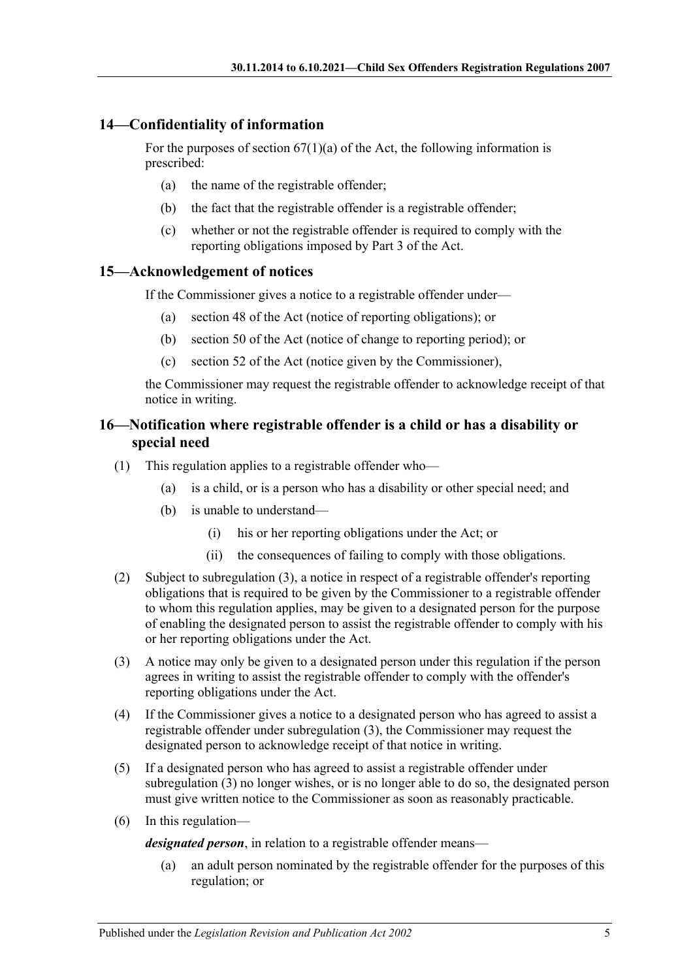## <span id="page-4-0"></span>**14—Confidentiality of information**

For the purposes of section  $67(1)(a)$  of the Act, the following information is prescribed:

- (a) the name of the registrable offender;
- (b) the fact that the registrable offender is a registrable offender;
- (c) whether or not the registrable offender is required to comply with the reporting obligations imposed by Part 3 of the Act.

## <span id="page-4-1"></span>**15—Acknowledgement of notices**

If the Commissioner gives a notice to a registrable offender under—

- (a) section 48 of the Act (notice of reporting obligations); or
- (b) section 50 of the Act (notice of change to reporting period); or
- (c) section 52 of the Act (notice given by the Commissioner),

the Commissioner may request the registrable offender to acknowledge receipt of that notice in writing.

## <span id="page-4-2"></span>**16—Notification where registrable offender is a child or has a disability or special need**

- (1) This regulation applies to a registrable offender who—
	- (a) is a child, or is a person who has a disability or other special need; and
	- (b) is unable to understand—
		- (i) his or her reporting obligations under the Act; or
		- (ii) the consequences of failing to comply with those obligations.
- (2) Subject to [subregulation](#page-4-3) (3), a notice in respect of a registrable offender's reporting obligations that is required to be given by the Commissioner to a registrable offender to whom this regulation applies, may be given to a designated person for the purpose of enabling the designated person to assist the registrable offender to comply with his or her reporting obligations under the Act.
- <span id="page-4-3"></span>(3) A notice may only be given to a designated person under this regulation if the person agrees in writing to assist the registrable offender to comply with the offender's reporting obligations under the Act.
- (4) If the Commissioner gives a notice to a designated person who has agreed to assist a registrable offender under [subregulation](#page-4-3) (3), the Commissioner may request the designated person to acknowledge receipt of that notice in writing.
- (5) If a designated person who has agreed to assist a registrable offender under [subregulation](#page-4-3) (3) no longer wishes, or is no longer able to do so, the designated person must give written notice to the Commissioner as soon as reasonably practicable.
- (6) In this regulation—

*designated person*, in relation to a registrable offender means—

(a) an adult person nominated by the registrable offender for the purposes of this regulation; or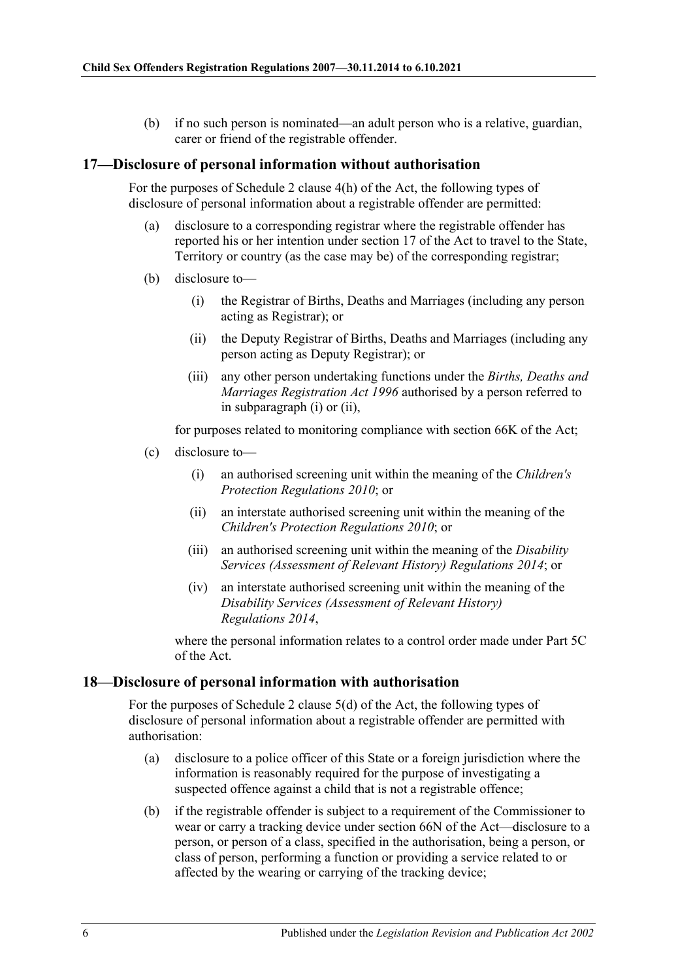(b) if no such person is nominated—an adult person who is a relative, guardian, carer or friend of the registrable offender.

#### <span id="page-5-0"></span>**17—Disclosure of personal information without authorisation**

For the purposes of Schedule 2 clause 4(h) of the Act, the following types of disclosure of personal information about a registrable offender are permitted:

- (a) disclosure to a corresponding registrar where the registrable offender has reported his or her intention under section 17 of the Act to travel to the State, Territory or country (as the case may be) of the corresponding registrar;
- <span id="page-5-3"></span><span id="page-5-2"></span>(b) disclosure to—
	- (i) the Registrar of Births, Deaths and Marriages (including any person acting as Registrar); or
	- (ii) the Deputy Registrar of Births, Deaths and Marriages (including any person acting as Deputy Registrar); or
	- (iii) any other person undertaking functions under the *[Births, Deaths and](http://www.legislation.sa.gov.au/index.aspx?action=legref&type=act&legtitle=Births%20Deaths%20and%20Marriages%20Registration%20Act%201996)  [Marriages Registration Act](http://www.legislation.sa.gov.au/index.aspx?action=legref&type=act&legtitle=Births%20Deaths%20and%20Marriages%20Registration%20Act%201996) 1996* authorised by a person referred to in [subparagraph](#page-5-2) (i) or [\(ii\),](#page-5-3)

for purposes related to monitoring compliance with section 66K of the Act;

- (c) disclosure to—
	- (i) an authorised screening unit within the meaning of the *[Children's](http://www.legislation.sa.gov.au/index.aspx?action=legref&type=subordleg&legtitle=Childrens%20Protection%20Regulations%202010)  [Protection Regulations](http://www.legislation.sa.gov.au/index.aspx?action=legref&type=subordleg&legtitle=Childrens%20Protection%20Regulations%202010) 2010*; or
	- (ii) an interstate authorised screening unit within the meaning of the *[Children's Protection Regulations](http://www.legislation.sa.gov.au/index.aspx?action=legref&type=subordleg&legtitle=Childrens%20Protection%20Regulations%202010) 2010*; or
	- (iii) an authorised screening unit within the meaning of the *[Disability](http://www.legislation.sa.gov.au/index.aspx?action=legref&type=subordleg&legtitle=Disability%20Services%20(Assessment%20of%20Relevant%20History)%20Regulations%202014)  [Services \(Assessment of Relevant History\) Regulations](http://www.legislation.sa.gov.au/index.aspx?action=legref&type=subordleg&legtitle=Disability%20Services%20(Assessment%20of%20Relevant%20History)%20Regulations%202014) 2014*; or
	- (iv) an interstate authorised screening unit within the meaning of the *[Disability Services \(Assessment of Relevant History\)](http://www.legislation.sa.gov.au/index.aspx?action=legref&type=subordleg&legtitle=Disability%20Services%20(Assessment%20of%20Relevant%20History)%20Regulations%202014)  [Regulations](http://www.legislation.sa.gov.au/index.aspx?action=legref&type=subordleg&legtitle=Disability%20Services%20(Assessment%20of%20Relevant%20History)%20Regulations%202014) 2014*,

where the personal information relates to a control order made under Part 5C of the Act.

#### <span id="page-5-1"></span>**18—Disclosure of personal information with authorisation**

For the purposes of Schedule 2 clause 5(d) of the Act, the following types of disclosure of personal information about a registrable offender are permitted with authorisation:

- (a) disclosure to a police officer of this State or a foreign jurisdiction where the information is reasonably required for the purpose of investigating a suspected offence against a child that is not a registrable offence;
- (b) if the registrable offender is subject to a requirement of the Commissioner to wear or carry a tracking device under section 66N of the Act—disclosure to a person, or person of a class, specified in the authorisation, being a person, or class of person, performing a function or providing a service related to or affected by the wearing or carrying of the tracking device;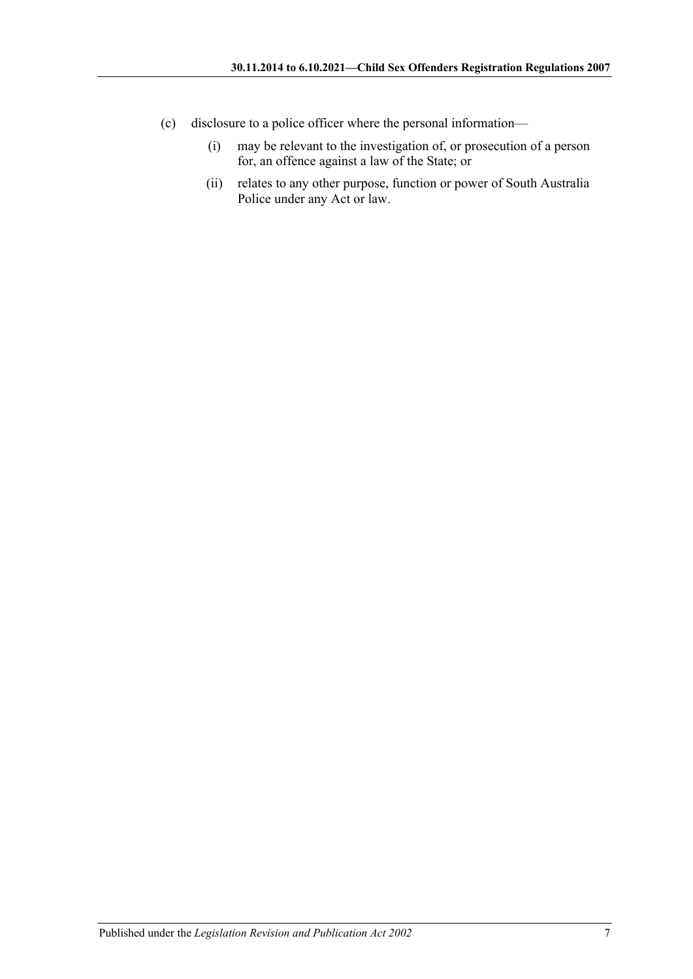- (c) disclosure to a police officer where the personal information—
	- (i) may be relevant to the investigation of, or prosecution of a person for, an offence against a law of the State; or
	- (ii) relates to any other purpose, function or power of South Australia Police under any Act or law.